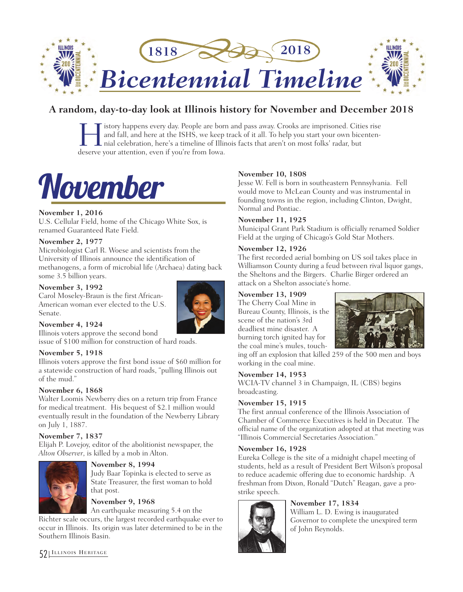

# **A random, day-to-day look at Illinois history for November and December 2018**

I istory happens every day. People are born and pass away. Crooks are imprisoned. Cities rise<br>and fall, and here at the ISHS, we keep track of it all. To help you start your own bicenten-<br>hial celebration, here's a timelin and fall, and here at the ISHS, we keep track of it all. To help you start your own bicentennial celebration, here's a timeline of Illinois facts that aren't on most folks' radar, but deserve your attention, even if you're from Iowa.

# November

# **November 1, 2016**

U.S. Cellular Field, home of the Chicago White Sox, is renamed Guaranteed Rate Field.

# **November 2, 1977**

Microbiologist Carl R. Woese and scientists from the University of Illinois announce the identification of methanogens, a form of microbial life (Archaea) dating back some 3.5 billion years.

# **November 3, 1992**

Carol Moseley-Braun is the first African-American woman ever elected to the U.S. Senate.



# **November 4, 1924**

Illinois voters approve the second bond issue of \$100 million for construction of hard roads.

# **November 5, 1918**

Illinois voters approve the first bond issue of \$60 million for a statewide construction of hard roads, "pulling Illinois out of the mud."

# **November 6, 1868**

Walter Loomis Newberry dies on a return trip from France for medical treatment. His bequest of \$2.1 million would eventually result in the foundation of the Newberry Library on July 1, 1887.

# **November 7, 1837**

Elijah P. Lovejoy, editor of the abolitionist newspaper, the *Alton Observer*, is killed by a mob in Alton.



#### **November 8, 1994**

Judy Baar Topinka is elected to serve as State Treasurer, the first woman to hold that post.

# **November 9, 1968**

An earthquake measuring 5.4 on the

Richter scale occurs, the largest recorded earthquake ever to occur in Illinois. Its origin was later determined to be in the Southern Illinois Basin.

# **November 10, 1808**

Jesse W. Fell is born in southeastern Pennsylvania. Fell would move to McLean County and was instrumental in founding towns in the region, including Clinton, Dwight, Normal and Pontiac.

# **November 11, 1925**

Municipal Grant Park Stadium is officially renamed Soldier Field at the urging of Chicago's Gold Star Mothers.

# **November 12, 1926**

The first recorded aerial bombing on US soil takes place in Williamson County during a feud between rival liquor gangs, the Sheltons and the Birgers. Charlie Birger ordered an attack on a Shelton associate's home.

# **November 13, 1909**

The Cherry Coal Mine in Bureau County, Illinois, is the scene of the nation's 3rd deadliest mine disaster. A burning torch ignited hay for the coal mine's mules, touch-



ing off an explosion that killed 259 of the 500 men and boys working in the coal mine.

# **November 14, 1953**

WCIA-TV channel 3 in Champaign, IL (CBS) begins broadcasting.

# **November 15, 1915**

The first annual conference of the Illinois Association of Chamber of Commerce Executives is held in Decatur. The official name of the organization adopted at that meeting was "Illinois Commercial Secretaries Association."

# **November 16, 1928**

Eureka College is the site of a midnight chapel meeting of students, held as a result of President Bert Wilson's proposal to reduce academic offering due to economic hardship. A freshman from Dixon, Ronald "Dutch" Reagan, gave a prostrike speech.

# **November 17, 1834**



William L. D. Ewing is inaugurated Governor to complete the unexpired term of John Reynolds.

52 ILLINOIS HERITAGE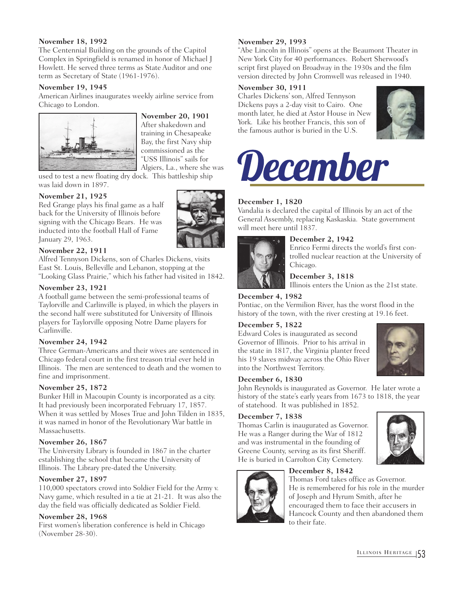# **November 18, 1992**

The Centennial Building on the grounds of the Capitol Complex in Springfield is renamed in honor of Michael J Howlett. He served three terms as State Auditor and one term as Secretary of State (1961-1976).

# **November 19, 1945**

American Airlines inaugurates weekly airline service from Chicago to London.



**November 20, 1901** After shakedown and training in Chesapeake Bay, the first Navy ship commissioned as the "USS Illinois" sails for Algiers, La., where she was

used to test a new floating dry dock. This battleship ship was laid down in 1897.

# **November 21, 1925**

Red Grange plays his final game as a half back for the University of Illinois before signing with the Chicago Bears. He was inducted into the football Hall of Fame January 29, 1963.

# **November 22, 1911**

Alfred Tennyson Dickens, son of Charles Dickens, visits East St. Louis, Belleville and Lebanon, stopping at the "Looking Glass Prairie," which his father had visited in 1842.

# **November 23, 1921**

A football game between the semi-professional teams of Taylorville and Carlinville is played, in which the players in the second half were substituted for University of Illinois players for Taylorville opposing Notre Dame players for Carlinville.

# **November 24, 1942**

Three German-Americans and their wives are sentenced in Chicago federal court in the first treason trial ever held in Illinois. The men are sentenced to death and the women to fine and imprisonment.

# **November 25, 1872**

Bunker Hill in Macoupin County is incorporated as a city. It had previously been incorporated February 17, 1857. When it was settled by Moses True and John Tilden in 1835, it was named in honor of the Revolutionary War battle in Massachusetts.

# **November 26, 1867**

The University Library is founded in 1867 in the charter establishing the school that became the University of Illinois. The Library pre-dated the University.

# **November 27, 1897**

110,000 spectators crowd into Soldier Field for the Army v. Navy game, which resulted in a tie at 21-21. It was also the day the field was officially dedicated as Soldier Field.

# **November 28, 1968**

First women's liberation conference is held in Chicago (November 28-30).

# **November 29, 1993**

"Abe Lincoln in Illinois" opens at the Beaumont Theater in New York City for 40 performances. Robert Sherwood's script first played on Broadway in the 1930s and the film version directed by John Cromwell was released in 1940.

# **November 30, 1911**

Charles Dickens' son, Alfred Tennyson Dickens pays a 2-day visit to Cairo. One month later, he died at Astor House in New York. Like his brother Francis, this son of the famous author is buried in the U.S.





# **December 1, 1820**

Vandalia is declared the capital of Illinois by an act of the General Assembly, replacing Kaskaskia. State government will meet here until 1837.



# **December 2, 1942**

Enrico Fermi directs the world's first controlled nuclear reaction at the University of Chicago.

# **December 3, 1818**

Illinois enters the Union as the 21st state.

# **December 4, 1982**

Pontiac, on the Vermilion River, has the worst flood in the history of the town, with the river cresting at 19.16 feet.

# **December 5, 1822**

Edward Coles is inaugurated as second Governor of Illinois. Prior to his arrival in the state in 1817, the Virginia planter freed his 19 slaves midway across the Ohio River into the Northwest Territory.



#### **December 6, 1830**

John Reynolds is inaugurated as Governor. He later wrote a history of the state's early years from 1673 to 1818, the year of statehood. It was published in 1852.

# **December 7, 1838**

Thomas Carlin is inaugurated as Governor. He was a Ranger during the War of 1812 and was instrumental in the founding of Greene County, serving as its first Sheriff. He is buried in Carrolton City Cemetery.



# **December 8, 1842**

Thomas Ford takes office as Governor. He is remembered for his role in the murder of Joseph and Hyrum Smith, after he encouraged them to face their accusers in Hancock County and then abandoned them to their fate.